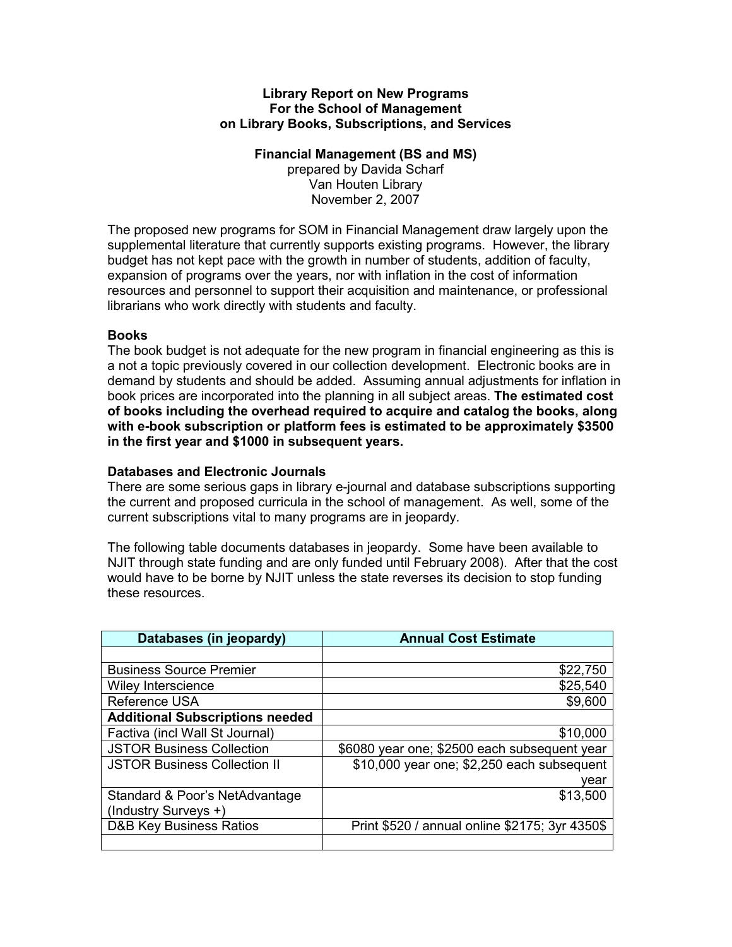#### Library Report on New Programs For the School of Management on Library Books, Subscriptions, and Services

#### Financial Management (BS and MS)

prepared by Davida Scharf Van Houten Library November 2, 2007

The proposed new programs for SOM in Financial Management draw largely upon the supplemental literature that currently supports existing programs. However, the library budget has not kept pace with the growth in number of students, addition of faculty, expansion of programs over the years, nor with inflation in the cost of information resources and personnel to support their acquisition and maintenance, or professional librarians who work directly with students and faculty.

# **Books**

The book budget is not adequate for the new program in financial engineering as this is a not a topic previously covered in our collection development. Electronic books are in demand by students and should be added. Assuming annual adjustments for inflation in book prices are incorporated into the planning in all subject areas. The estimated cost of books including the overhead required to acquire and catalog the books, along with e-book subscription or platform fees is estimated to be approximately \$3500 in the first year and \$1000 in subsequent years.

# Databases and Electronic Journals

There are some serious gaps in library e-journal and database subscriptions supporting the current and proposed curricula in the school of management. As well, some of the current subscriptions vital to many programs are in jeopardy.

The following table documents databases in jeopardy. Some have been available to NJIT through state funding and are only funded until February 2008). After that the cost would have to be borne by NJIT unless the state reverses its decision to stop funding these resources.

| Databases (in jeopardy)                | <b>Annual Cost Estimate</b>                    |
|----------------------------------------|------------------------------------------------|
|                                        |                                                |
| <b>Business Source Premier</b>         | \$22,750                                       |
| Wiley Interscience                     | \$25,540                                       |
| Reference USA                          | \$9,600                                        |
| <b>Additional Subscriptions needed</b> |                                                |
| Factiva (incl Wall St Journal)         | \$10,000                                       |
| <b>JSTOR Business Collection</b>       | \$6080 year one; \$2500 each subsequent year   |
| <b>JSTOR Business Collection II</b>    | \$10,000 year one; \$2,250 each subsequent     |
|                                        | vear                                           |
| Standard & Poor's NetAdvantage         | \$13,500                                       |
| (Industry Surveys +)                   |                                                |
| <b>D&amp;B Key Business Ratios</b>     | Print \$520 / annual online \$2175; 3yr 4350\$ |
|                                        |                                                |